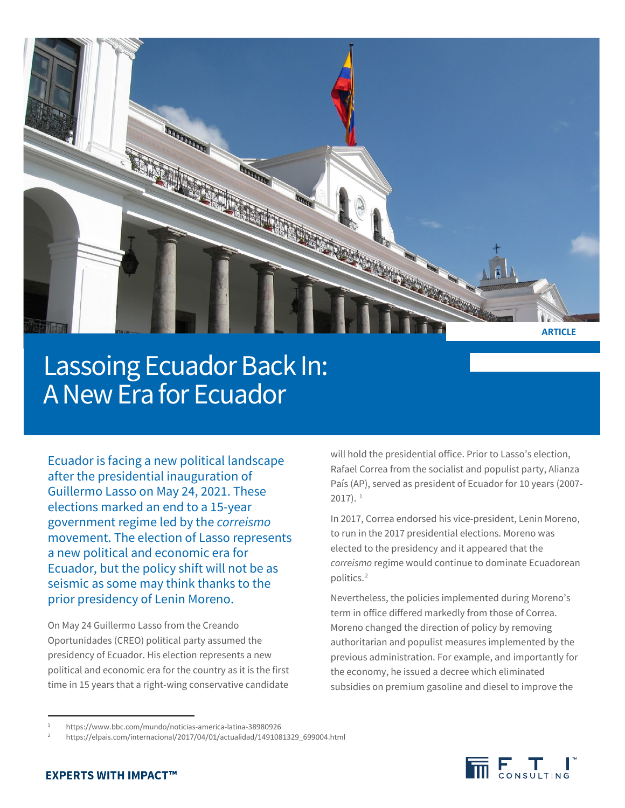

# Lassoing Ecuador Back In: A New Era for Ecuador

Ecuador is facing a new political landscape after the presidential inauguration of Guillermo Lasso on May 24, 2021. These elections marked an end to a 15-year government regime led by the *correismo*  movement. The election of Lasso represents a new political and economic era for Ecuador, but the policy shift will not be as seismic as some may think thanks to the prior presidency of Lenin Moreno.

On May 24 Guillermo Lasso from the Creando Oportunidades (CREO) political party assumed the presidency of Ecuador. His election represents a new political and economic era for the country as it is the first time in 15 years that a right-wing conservative candidate

will hold the presidential office. Prior to Lasso's election, Rafael Correa from the socialist and populist party, Alianza País (AP), served as president of Ecuador for 10 years (2007-  $2017$  $2017$  $2017$ ).  $1$ 

In 2017, Correa endorsed his vice-president, Lenin Moreno, to run in the 2017 presidential elections. Moreno was elected to the presidency and it appeared that the *correismo* regime would continue to dominate Ecuadorean politics. [2](#page-0-1)

Nevertheless, the policies implemented during Moreno's term in office differed markedly from those of Correa. Moreno changed the direction of policy by removing authoritarian and populist measures implemented by the previous administration. For example, and importantly for the economy, he issued a decree which eliminated subsidies on premium gasoline and diesel to improve the



<span id="page-0-1"></span><span id="page-0-0"></span><sup>1</sup> https://www.bbc.com/mundo/noticias-america-latina-38980926

<sup>2</sup> https://elpais.com/internacional/2017/04/01/actualidad/1491081329\_699004.html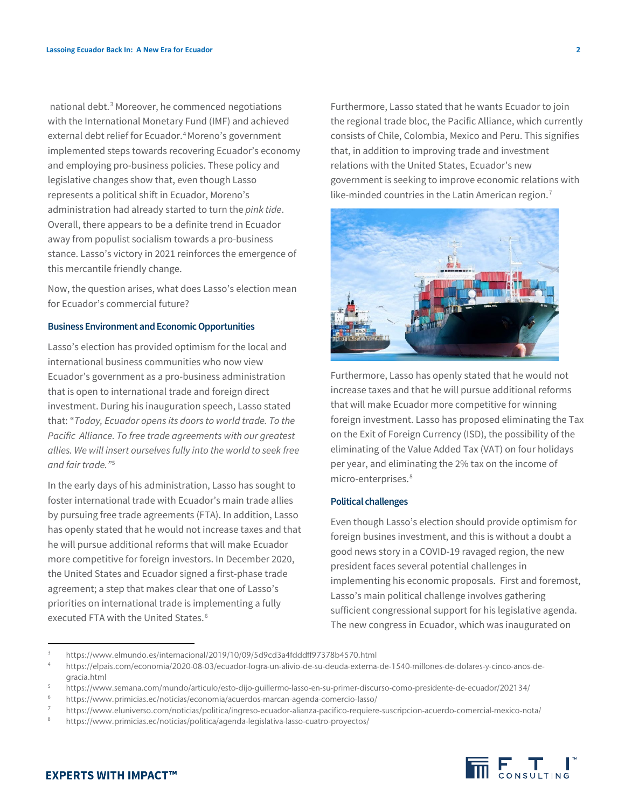national debt. [3](#page-1-0) Moreover, he commenced negotiations with the International Monetary Fund (IMF) and achieved external debt relief for Ecuador.<sup>[4](#page-1-1)</sup> Moreno's government implemented steps towards recovering Ecuador's economy and employing pro-business policies. These policy and legislative changes show that, even though Lasso represents a political shift in Ecuador, Moreno's administration had already started to turn the *pink tide*. Overall, there appears to be a definite trend in Ecuador away from populist socialism towards a pro-business stance. Lasso's victory in 2021 reinforces the emergence of this mercantile friendly change.

Now, the question arises, what does Lasso's election mean for Ecuador's commercial future?

#### **Business Environment and Economic Opportunities**

Lasso's election has provided optimism for the local and international business communities who now view Ecuador's government as a pro-business administration that is open to international trade and foreign direct investment. During his inauguration speech, Lasso stated that: "*Today, Ecuador opens its doors to world trade. To the Pacific Alliance. To free trade agreements with our greatest allies. We will insert ourselves fully into the world to seek free and fair trade."*[5](#page-1-2)

In the early days of his administration, Lasso has sought to foster international trade with Ecuador's main trade allies by pursuing free trade agreements (FTA). In addition, Lasso has openly stated that he would not increase taxes and that he will pursue additional reforms that will make Ecuador more competitive for foreign investors. In December 2020, the United States and Ecuador signed a first-phase trade agreement; a step that makes clear that one of Lasso's priorities on international trade is implementing a fully executed FTA with the United States.<sup>[6](#page-1-3)</sup>

Furthermore, Lasso stated that he wants Ecuador to join the regional trade bloc, the Pacific Alliance, which currently consists of Chile, Colombia, Mexico and Peru. This signifies that, in addition to improving trade and investment relations with the United States, Ecuador's new government is seeking to improve economic relations with like-minded countries in the Latin American region.<sup>[7](#page-1-4)</sup>



Furthermore, Lasso has openly stated that he would not increase taxes and that he will pursue additional reforms that will make Ecuador more competitive for winning foreign investment. Lasso has proposed eliminating the Tax on the Exit of Foreign Currency (ISD), the possibility of the eliminating of the Value Added Tax (VAT) on four holidays per year, and eliminating the 2% tax on the income of micro-enterprises. [8](#page-1-5)

### **Political challenges**

Even though Lasso's election should provide optimism for foreign busines investment, and this is without a doubt a good news story in a COVID-19 ravaged region, the new president faces several potential challenges in implementing his economic proposals. First and foremost, Lasso's main political challenge involves gathering sufficient congressional support for his legislative agenda. The new congress in Ecuador, which was inaugurated on



## **EXPERTS WITH IMPACT™**

-

<span id="page-1-0"></span><sup>3</sup> https://www.elmundo.es/internacional/2019/10/09/5d9cd3a4fdddff97378b4570.html

<span id="page-1-1"></span><sup>4</sup> https://elpais.com/economia/2020-08-03/ecuador-logra-un-alivio-de-su-deuda-externa-de-1540-millones-de-dolares-y-cinco-anos-degracia.html

<span id="page-1-2"></span><sup>5</sup> https://www.semana.com/mundo/articulo/esto-dijo-guillermo-lasso-en-su-primer-discurso-como-presidente-de-ecuador/202134/

<span id="page-1-4"></span><span id="page-1-3"></span><sup>6</sup> https://www.primicias.ec/noticias/economia/acuerdos-marcan-agenda-comercio-lasso/

<sup>7</sup> https://www.eluniverso.com/noticias/politica/ingreso-ecuador-alianza-pacifico-requiere-suscripcion-acuerdo-comercial-mexico-nota/

<span id="page-1-5"></span><sup>8</sup> https://www.primicias.ec/noticias/politica/agenda-legislativa-lasso-cuatro-proyectos/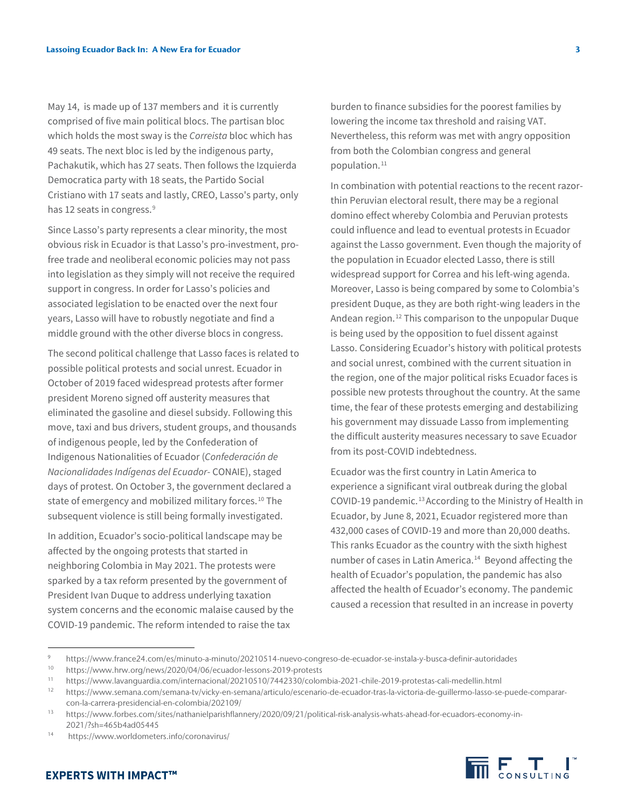May 14, is made up of 137 members and it is currently comprised of five main political blocs. The partisan bloc which holds the most sway is the *Correista* bloc which has 49 seats. The next bloc is led by the indigenous party, Pachakutik, which has 27 seats. Then follows the Izquierda Democratica party with 18 seats, the Partido Social Cristiano with 17 seats and lastly, CREO, Lasso's party, only has 12 seats in congress.<sup>[9](#page-2-0)</sup>

Since Lasso's party represents a clear minority, the most obvious risk in Ecuador is that Lasso's pro-investment, profree trade and neoliberal economic policies may not pass into legislation as they simply will not receive the required support in congress. In order for Lasso's policies and associated legislation to be enacted over the next four years, Lasso will have to robustly negotiate and find a middle ground with the other diverse blocs in congress.

The second political challenge that Lasso faces is related to possible political protests and social unrest. Ecuador in October of 2019 faced widespread protests after former president Moreno signed off austerity measures that eliminated the gasoline and diesel subsidy. Following this move, taxi and bus drivers, student groups, and thousands of indigenous people, led by the Confederation of Indigenous Nationalities of Ecuador (*Confederación de Nacionalidades Indígenas del Ecuador*- CONAIE), staged days of protest. On October 3, the government declared a state of emergency and mobilized military forces. [10](#page-2-1) The subsequent violence is still being formally investigated.

In addition, Ecuador's socio-political landscape may be affected by the ongoing protests that started in neighboring Colombia in May 2021. The protests were sparked by a tax reform presented by the government of President Ivan Duque to address underlying taxation system concerns and the economic malaise caused by the COVID-19 pandemic. The reform intended to raise the tax

burden to finance subsidies for the poorest families by lowering the income tax threshold and raising VAT. Nevertheless, this reform was met with angry opposition from both the Colombian congress and general population. [11](#page-2-2)

In combination with potential reactions to the recent razorthin Peruvian electoral result, there may be a regional domino effect whereby Colombia and Peruvian protests could influence and lead to eventual protests in Ecuador against the Lasso government. Even though the majority of the population in Ecuador elected Lasso, there is still widespread support for Correa and his left-wing agenda. Moreover, Lasso is being compared by some to Colombia's president Duque, as they are both right-wing leaders in the Andean region. [12](#page-2-3) This comparison to the unpopular Duque is being used by the opposition to fuel dissent against Lasso. Considering Ecuador's history with political protests and social unrest, combined with the current situation in the region, one of the major political risks Ecuador faces is possible new protests throughout the country. At the same time, the fear of these protests emerging and destabilizing his government may dissuade Lasso from implementing the difficult austerity measures necessary to save Ecuador from its post-COVID indebtedness.

Ecuador was the first country in Latin America to experience a significant viral outbreak during the global COVID-19 pandemic.<sup>[13](#page-2-4)</sup> According to the Ministry of Health in Ecuador, by June 8, 2021, Ecuador registered more than 432,000 cases of COVID-19 and more than 20,000 deaths. This ranks Ecuador as the country with the sixth highest number of cases in Latin America. [14](#page-2-5) Beyond affecting the health of Ecuador's population, the pandemic has also affected the health of Ecuador's economy. The pandemic caused a recession that resulted in an increase in poverty



-

<span id="page-2-0"></span><sup>9</sup> https://www.france24.com/es/minuto-a-minuto/20210514-nuevo-congreso-de-ecuador-se-instala-y-busca-definir-autoridades

<span id="page-2-1"></span><sup>10</sup> https://www.hrw.org/news/2020/04/06/ecuador-lessons-2019-protests

<span id="page-2-2"></span><sup>11</sup> https://www.lavanguardia.com/internacional/20210510/7442330/colombia-2021-chile-2019-protestas-cali-medellin.html<br>12 https://www.compane.com/compane.ty/vigle/sp.express/articula/accessive de.exuades.tree.la.vigteria.de.

<span id="page-2-3"></span><sup>12</sup> https://www.semana.com/semana-tv/vicky-en-semana/articulo/escenario-de-ecuador-tras-la-victoria-de-guillermo-lasso-se-puede-compararcon-la-carrera-presidencial-en-colombia/202109/

<span id="page-2-4"></span><sup>13</sup> https://www.forbes.com/sites/nathanielparishflannery/2020/09/21/political-risk-analysis-whats-ahead-for-ecuadors-economy-in-2021/?sh=465b4ad05445

<span id="page-2-5"></span><sup>14</sup> https://www.worldometers.info/coronavirus/